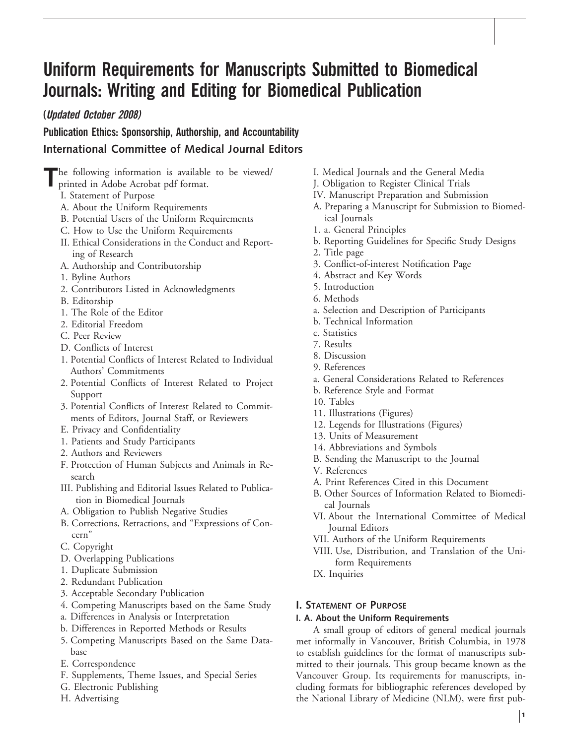# **Uniform Requirements for Manuscripts Submitted to Biomedical Journals: Writing and Editing for Biomedical Publication**

# **(***Updated October 2008)*

# **Publication Ethics: Sponsorship, Authorship, and Accountability International Committee of Medical Journal Editors**

- **T**he following information is available to be viewed/ printed in Adobe Acrobat pdf format. I. Statement of Purpose A. About the Uniform Requirements B. Potential Users of the Uniform Requirements C. How to Use the Uniform Requirements II. Ethical Considerations in the Conduct and Reporting of Research
	- A. Authorship and Contributorship
	- 1. Byline Authors
	- 2. Contributors Listed in Acknowledgments
	- B. Editorship
	- 1. The Role of the Editor
	- 2. Editorial Freedom
	- C. Peer Review
	- D. Conflicts of Interest
	- 1. Potential Conflicts of Interest Related to Individual Authors' Commitments
	- 2. Potential Conflicts of Interest Related to Project Support
	- 3. Potential Conflicts of Interest Related to Commitments of Editors, Journal Staff, or Reviewers
	- E. Privacy and Confidentiality
	- 1. Patients and Study Participants
	- 2. Authors and Reviewers
	- F. Protection of Human Subjects and Animals in Research
	- III. Publishing and Editorial Issues Related to Publication in Biomedical Journals
	- A. Obligation to Publish Negative Studies
	- B. Corrections, Retractions, and "Expressions of Concern"
	- C. Copyright
	- D. Overlapping Publications
	- 1. Duplicate Submission
	- 2. Redundant Publication
	- 3. Acceptable Secondary Publication
	- 4. Competing Manuscripts based on the Same Study
	- a. Differences in Analysis or Interpretation
	- b. Differences in Reported Methods or Results
	- 5. Competing Manuscripts Based on the Same Database
	- E. Correspondence
	- F. Supplements, Theme Issues, and Special Series
	- G. Electronic Publishing
	- H. Advertising
- I. Medical Journals and the General Media
- J. Obligation to Register Clinical Trials
- IV. Manuscript Preparation and Submission
- A. Preparing a Manuscript for Submission to Biomedical Journals
- 1. a. General Principles
- b. Reporting Guidelines for Specific Study Designs
- 2. Title page
- 3. Conflict-of-interest Notification Page
- 4. Abstract and Key Words
- 5. Introduction
- 6. Methods
- a. Selection and Description of Participants
- b. Technical Information
- c. Statistics
- 7. Results
- 8. Discussion
- 9. References
- a. General Considerations Related to References
- b. Reference Style and Format
- 10. Tables
- 11. Illustrations (Figures)
- 12. Legends for Illustrations (Figures)
- 13. Units of Measurement
- 14. Abbreviations and Symbols
- B. Sending the Manuscript to the Journal
- V. References
- A. Print References Cited in this Document
- B. Other Sources of Information Related to Biomedical Journals
- VI. About the International Committee of Medical Journal Editors
- VII. Authors of the Uniform Requirements
- VIII. Use, Distribution, and Translation of the Uniform Requirements
- IX. Inquiries

# **I. STATEMENT OF PURPOSE**

# **I. A. About the Uniform Requirements**

A small group of editors of general medical journals met informally in Vancouver, British Columbia, in 1978 to establish guidelines for the format of manuscripts submitted to their journals. This group became known as the Vancouver Group. Its requirements for manuscripts, including formats for bibliographic references developed by the National Library of Medicine (NLM), were first pub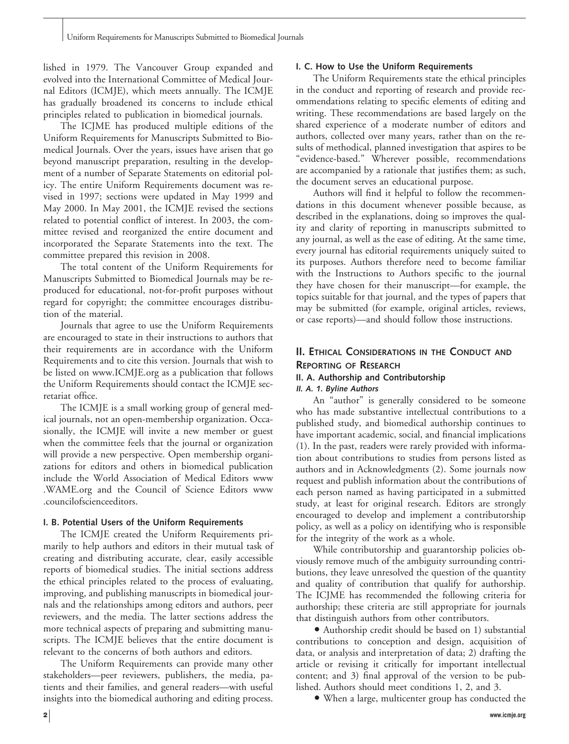lished in 1979. The Vancouver Group expanded and evolved into the International Committee of Medical Journal Editors (ICMJE), which meets annually. The ICMJE has gradually broadened its concerns to include ethical principles related to publication in biomedical journals.

The ICJME has produced multiple editions of the Uniform Requirements for Manuscripts Submitted to Biomedical Journals. Over the years, issues have arisen that go beyond manuscript preparation, resulting in the development of a number of Separate Statements on editorial policy. The entire Uniform Requirements document was revised in 1997; sections were updated in May 1999 and May 2000. In May 2001, the ICMJE revised the sections related to potential conflict of interest. In 2003, the committee revised and reorganized the entire document and incorporated the Separate Statements into the text. The committee prepared this revision in 2008.

The total content of the Uniform Requirements for Manuscripts Submitted to Biomedical Journals may be reproduced for educational, not-for-profit purposes without regard for copyright; the committee encourages distribution of the material.

Journals that agree to use the Uniform Requirements are encouraged to state in their instructions to authors that their requirements are in accordance with the Uniform Requirements and to cite this version. Journals that wish to be listed on www.ICMJE.org as a publication that follows the Uniform Requirements should contact the ICMJE secretariat office.

The ICMJE is a small working group of general medical journals, not an open-membership organization. Occasionally, the ICMJE will invite a new member or guest when the committee feels that the journal or organization will provide a new perspective. Open membership organizations for editors and others in biomedical publication include the World Association of Medical Editors www .WAME.org and the Council of Science Editors www .councilofscienceeditors.

#### **I. B. Potential Users of the Uniform Requirements**

The ICMJE created the Uniform Requirements primarily to help authors and editors in their mutual task of creating and distributing accurate, clear, easily accessible reports of biomedical studies. The initial sections address the ethical principles related to the process of evaluating, improving, and publishing manuscripts in biomedical journals and the relationships among editors and authors, peer reviewers, and the media. The latter sections address the more technical aspects of preparing and submitting manuscripts. The ICMJE believes that the entire document is relevant to the concerns of both authors and editors.

The Uniform Requirements can provide many other stakeholders—peer reviewers, publishers, the media, patients and their families, and general readers—with useful insights into the biomedical authoring and editing process.

#### **I. C. How to Use the Uniform Requirements**

The Uniform Requirements state the ethical principles in the conduct and reporting of research and provide recommendations relating to specific elements of editing and writing. These recommendations are based largely on the shared experience of a moderate number of editors and authors, collected over many years, rather than on the results of methodical, planned investigation that aspires to be "evidence-based." Wherever possible, recommendations are accompanied by a rationale that justifies them; as such, the document serves an educational purpose.

Authors will find it helpful to follow the recommendations in this document whenever possible because, as described in the explanations, doing so improves the quality and clarity of reporting in manuscripts submitted to any journal, as well as the ease of editing. At the same time, every journal has editorial requirements uniquely suited to its purposes. Authors therefore need to become familiar with the Instructions to Authors specific to the journal they have chosen for their manuscript—for example, the topics suitable for that journal, and the types of papers that may be submitted (for example, original articles, reviews, or case reports)—and should follow those instructions.

# **II. ETHICAL CONSIDERATIONS IN THE CONDUCT AND REPORTING OF RESEARCH**

#### **II. A. Authorship and Contributorship II. A. 1. Byline Authors**

An "author" is generally considered to be someone who has made substantive intellectual contributions to a published study, and biomedical authorship continues to have important academic, social, and financial implications (1). In the past, readers were rarely provided with information about contributions to studies from persons listed as authors and in Acknowledgments (2). Some journals now request and publish information about the contributions of each person named as having participated in a submitted study, at least for original research. Editors are strongly encouraged to develop and implement a contributorship policy, as well as a policy on identifying who is responsible for the integrity of the work as a whole.

While contributorship and guarantorship policies obviously remove much of the ambiguity surrounding contributions, they leave unresolved the question of the quantity and quality of contribution that qualify for authorship. The ICJME has recommended the following criteria for authorship; these criteria are still appropriate for journals that distinguish authors from other contributors.

• Authorship credit should be based on 1) substantial contributions to conception and design, acquisition of data, or analysis and interpretation of data; 2) drafting the article or revising it critically for important intellectual content; and 3) final approval of the version to be published. Authors should meet conditions 1, 2, and 3.

• When a large, multicenter group has conducted the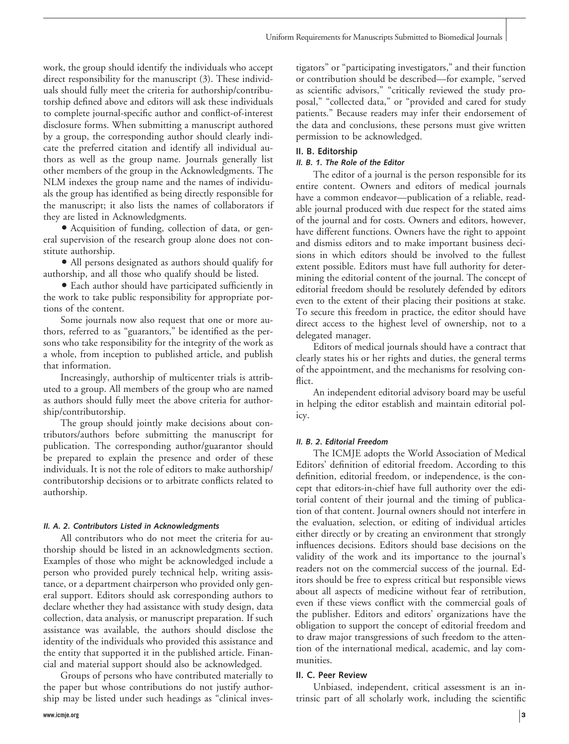work, the group should identify the individuals who accept direct responsibility for the manuscript (3). These individuals should fully meet the criteria for authorship/contributorship defined above and editors will ask these individuals to complete journal-specific author and conflict-of-interest disclosure forms. When submitting a manuscript authored by a group, the corresponding author should clearly indicate the preferred citation and identify all individual authors as well as the group name. Journals generally list other members of the group in the Acknowledgments. The NLM indexes the group name and the names of individuals the group has identified as being directly responsible for the manuscript; it also lists the names of collaborators if they are listed in Acknowledgments.

 $\bullet$  Acquisition of funding, collection of data, or general supervision of the research group alone does not constitute authorship.

• All persons designated as authors should qualify for authorship, and all those who qualify should be listed.

 $\bullet$  Each author should have participated sufficiently in the work to take public responsibility for appropriate portions of the content.

Some journals now also request that one or more authors, referred to as "guarantors," be identified as the persons who take responsibility for the integrity of the work as a whole, from inception to published article, and publish that information.

Increasingly, authorship of multicenter trials is attributed to a group. All members of the group who are named as authors should fully meet the above criteria for authorship/contributorship.

The group should jointly make decisions about contributors/authors before submitting the manuscript for publication. The corresponding author/guarantor should be prepared to explain the presence and order of these individuals. It is not the role of editors to make authorship/ contributorship decisions or to arbitrate conflicts related to authorship.

#### **II. A. 2. Contributors Listed in Acknowledgments**

All contributors who do not meet the criteria for authorship should be listed in an acknowledgments section. Examples of those who might be acknowledged include a person who provided purely technical help, writing assistance, or a department chairperson who provided only general support. Editors should ask corresponding authors to declare whether they had assistance with study design, data collection, data analysis, or manuscript preparation. If such assistance was available, the authors should disclose the identity of the individuals who provided this assistance and the entity that supported it in the published article. Financial and material support should also be acknowledged.

Groups of persons who have contributed materially to the paper but whose contributions do not justify authorship may be listed under such headings as "clinical investigators" or "participating investigators," and their function or contribution should be described—for example, "served as scientific advisors," "critically reviewed the study proposal," "collected data," or "provided and cared for study patients." Because readers may infer their endorsement of the data and conclusions, these persons must give written permission to be acknowledged.

### **II. B. Editorship**

#### **II. B. 1. The Role of the Editor**

The editor of a journal is the person responsible for its entire content. Owners and editors of medical journals have a common endeavor—publication of a reliable, readable journal produced with due respect for the stated aims of the journal and for costs. Owners and editors, however, have different functions. Owners have the right to appoint and dismiss editors and to make important business decisions in which editors should be involved to the fullest extent possible. Editors must have full authority for determining the editorial content of the journal. The concept of editorial freedom should be resolutely defended by editors even to the extent of their placing their positions at stake. To secure this freedom in practice, the editor should have direct access to the highest level of ownership, not to a delegated manager.

Editors of medical journals should have a contract that clearly states his or her rights and duties, the general terms of the appointment, and the mechanisms for resolving conflict.

An independent editorial advisory board may be useful in helping the editor establish and maintain editorial policy.

#### **II. B. 2. Editorial Freedom**

The ICMJE adopts the World Association of Medical Editors' definition of editorial freedom. According to this definition, editorial freedom, or independence, is the concept that editors-in-chief have full authority over the editorial content of their journal and the timing of publication of that content. Journal owners should not interfere in the evaluation, selection, or editing of individual articles either directly or by creating an environment that strongly influences decisions. Editors should base decisions on the validity of the work and its importance to the journal's readers not on the commercial success of the journal. Editors should be free to express critical but responsible views about all aspects of medicine without fear of retribution, even if these views conflict with the commercial goals of the publisher. Editors and editors' organizations have the obligation to support the concept of editorial freedom and to draw major transgressions of such freedom to the attention of the international medical, academic, and lay communities.

#### **II. C. Peer Review**

Unbiased, independent, critical assessment is an intrinsic part of all scholarly work, including the scientific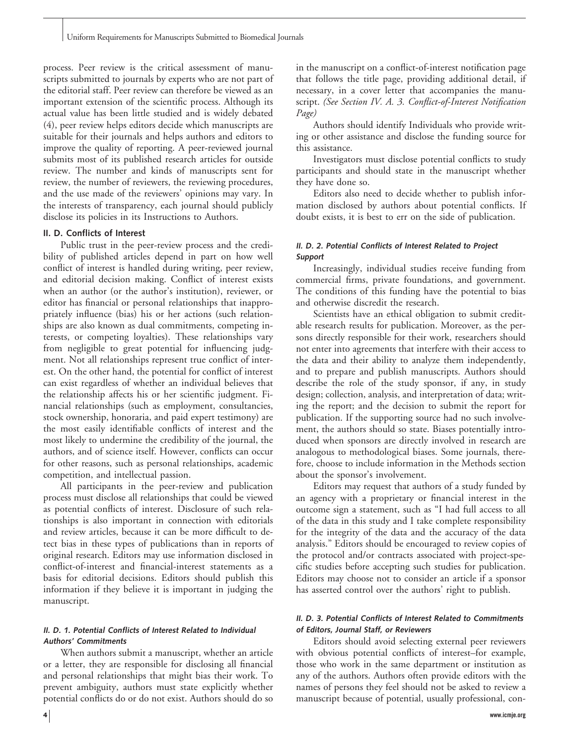process. Peer review is the critical assessment of manuscripts submitted to journals by experts who are not part of the editorial staff. Peer review can therefore be viewed as an important extension of the scientific process. Although its actual value has been little studied and is widely debated (4), peer review helps editors decide which manuscripts are suitable for their journals and helps authors and editors to improve the quality of reporting. A peer-reviewed journal submits most of its published research articles for outside review. The number and kinds of manuscripts sent for review, the number of reviewers, the reviewing procedures, and the use made of the reviewers' opinions may vary. In the interests of transparency, each journal should publicly disclose its policies in its Instructions to Authors.

# **II. D. Conflicts of Interest**

Public trust in the peer-review process and the credibility of published articles depend in part on how well conflict of interest is handled during writing, peer review, and editorial decision making. Conflict of interest exists when an author (or the author's institution), reviewer, or editor has financial or personal relationships that inappropriately influence (bias) his or her actions (such relationships are also known as dual commitments, competing interests, or competing loyalties). These relationships vary from negligible to great potential for influencing judgment. Not all relationships represent true conflict of interest. On the other hand, the potential for conflict of interest can exist regardless of whether an individual believes that the relationship affects his or her scientific judgment. Financial relationships (such as employment, consultancies, stock ownership, honoraria, and paid expert testimony) are the most easily identifiable conflicts of interest and the most likely to undermine the credibility of the journal, the authors, and of science itself. However, conflicts can occur for other reasons, such as personal relationships, academic competition, and intellectual passion.

All participants in the peer-review and publication process must disclose all relationships that could be viewed as potential conflicts of interest. Disclosure of such relationships is also important in connection with editorials and review articles, because it can be more difficult to detect bias in these types of publications than in reports of original research. Editors may use information disclosed in conflict-of-interest and financial-interest statements as a basis for editorial decisions. Editors should publish this information if they believe it is important in judging the manuscript.

#### **II. D. 1. Potential Conflicts of Interest Related to Individual Authors' Commitments**

When authors submit a manuscript, whether an article or a letter, they are responsible for disclosing all financial and personal relationships that might bias their work. To prevent ambiguity, authors must state explicitly whether potential conflicts do or do not exist. Authors should do so in the manuscript on a conflict-of-interest notification page that follows the title page, providing additional detail, if necessary, in a cover letter that accompanies the manuscript. *(See Section IV. A. 3. Conflict-of-Interest Notification Page)*

Authors should identify Individuals who provide writing or other assistance and disclose the funding source for this assistance.

Investigators must disclose potential conflicts to study participants and should state in the manuscript whether they have done so.

Editors also need to decide whether to publish information disclosed by authors about potential conflicts. If doubt exists, it is best to err on the side of publication.

### **II. D. 2. Potential Conflicts of Interest Related to Project Support**

Increasingly, individual studies receive funding from commercial firms, private foundations, and government. The conditions of this funding have the potential to bias and otherwise discredit the research.

Scientists have an ethical obligation to submit creditable research results for publication. Moreover, as the persons directly responsible for their work, researchers should not enter into agreements that interfere with their access to the data and their ability to analyze them independently, and to prepare and publish manuscripts. Authors should describe the role of the study sponsor, if any, in study design; collection, analysis, and interpretation of data; writing the report; and the decision to submit the report for publication. If the supporting source had no such involvement, the authors should so state. Biases potentially introduced when sponsors are directly involved in research are analogous to methodological biases. Some journals, therefore, choose to include information in the Methods section about the sponsor's involvement.

Editors may request that authors of a study funded by an agency with a proprietary or financial interest in the outcome sign a statement, such as "I had full access to all of the data in this study and I take complete responsibility for the integrity of the data and the accuracy of the data analysis." Editors should be encouraged to review copies of the protocol and/or contracts associated with project-specific studies before accepting such studies for publication. Editors may choose not to consider an article if a sponsor has asserted control over the authors' right to publish.

#### **II. D. 3. Potential Conflicts of Interest Related to Commitments of Editors, Journal Staff, or Reviewers**

Editors should avoid selecting external peer reviewers with obvious potential conflicts of interest–for example, those who work in the same department or institution as any of the authors. Authors often provide editors with the names of persons they feel should not be asked to review a manuscript because of potential, usually professional, con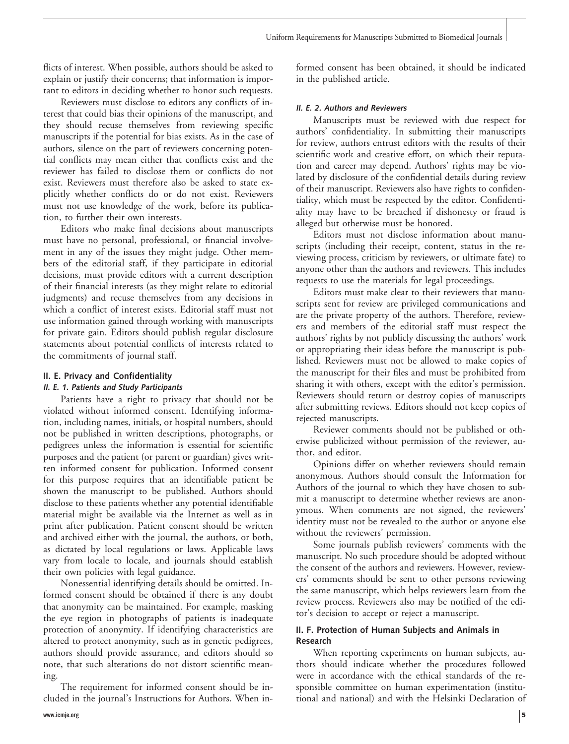flicts of interest. When possible, authors should be asked to explain or justify their concerns; that information is important to editors in deciding whether to honor such requests.

Reviewers must disclose to editors any conflicts of interest that could bias their opinions of the manuscript, and they should recuse themselves from reviewing specific manuscripts if the potential for bias exists. As in the case of authors, silence on the part of reviewers concerning potential conflicts may mean either that conflicts exist and the reviewer has failed to disclose them or conflicts do not exist. Reviewers must therefore also be asked to state explicitly whether conflicts do or do not exist. Reviewers must not use knowledge of the work, before its publication, to further their own interests.

Editors who make final decisions about manuscripts must have no personal, professional, or financial involvement in any of the issues they might judge. Other members of the editorial staff, if they participate in editorial decisions, must provide editors with a current description of their financial interests (as they might relate to editorial judgments) and recuse themselves from any decisions in which a conflict of interest exists. Editorial staff must not use information gained through working with manuscripts for private gain. Editors should publish regular disclosure statements about potential conflicts of interests related to the commitments of journal staff.

#### **II. E. Privacy and Confidentiality**

#### **II. E. 1. Patients and Study Participants**

Patients have a right to privacy that should not be violated without informed consent. Identifying information, including names, initials, or hospital numbers, should not be published in written descriptions, photographs, or pedigrees unless the information is essential for scientific purposes and the patient (or parent or guardian) gives written informed consent for publication. Informed consent for this purpose requires that an identifiable patient be shown the manuscript to be published. Authors should disclose to these patients whether any potential identifiable material might be available via the Internet as well as in print after publication. Patient consent should be written and archived either with the journal, the authors, or both, as dictated by local regulations or laws. Applicable laws vary from locale to locale, and journals should establish their own policies with legal guidance.

Nonessential identifying details should be omitted. Informed consent should be obtained if there is any doubt that anonymity can be maintained. For example, masking the eye region in photographs of patients is inadequate protection of anonymity. If identifying characteristics are altered to protect anonymity, such as in genetic pedigrees, authors should provide assurance, and editors should so note, that such alterations do not distort scientific meaning.

The requirement for informed consent should be included in the journal's Instructions for Authors. When in-

**www.icmje.org 5**

formed consent has been obtained, it should be indicated in the published article.

#### **II. E. 2. Authors and Reviewers**

Manuscripts must be reviewed with due respect for authors' confidentiality. In submitting their manuscripts for review, authors entrust editors with the results of their scientific work and creative effort, on which their reputation and career may depend. Authors' rights may be violated by disclosure of the confidential details during review of their manuscript. Reviewers also have rights to confidentiality, which must be respected by the editor. Confidentiality may have to be breached if dishonesty or fraud is alleged but otherwise must be honored.

Editors must not disclose information about manuscripts (including their receipt, content, status in the reviewing process, criticism by reviewers, or ultimate fate) to anyone other than the authors and reviewers. This includes requests to use the materials for legal proceedings.

Editors must make clear to their reviewers that manuscripts sent for review are privileged communications and are the private property of the authors. Therefore, reviewers and members of the editorial staff must respect the authors' rights by not publicly discussing the authors' work or appropriating their ideas before the manuscript is published. Reviewers must not be allowed to make copies of the manuscript for their files and must be prohibited from sharing it with others, except with the editor's permission. Reviewers should return or destroy copies of manuscripts after submitting reviews. Editors should not keep copies of rejected manuscripts.

Reviewer comments should not be published or otherwise publicized without permission of the reviewer, author, and editor.

Opinions differ on whether reviewers should remain anonymous. Authors should consult the Information for Authors of the journal to which they have chosen to submit a manuscript to determine whether reviews are anonymous. When comments are not signed, the reviewers' identity must not be revealed to the author or anyone else without the reviewers' permission.

Some journals publish reviewers' comments with the manuscript. No such procedure should be adopted without the consent of the authors and reviewers. However, reviewers' comments should be sent to other persons reviewing the same manuscript, which helps reviewers learn from the review process. Reviewers also may be notified of the editor's decision to accept or reject a manuscript.

#### **II. F. Protection of Human Subjects and Animals in Research**

When reporting experiments on human subjects, authors should indicate whether the procedures followed were in accordance with the ethical standards of the responsible committee on human experimentation (institutional and national) and with the Helsinki Declaration of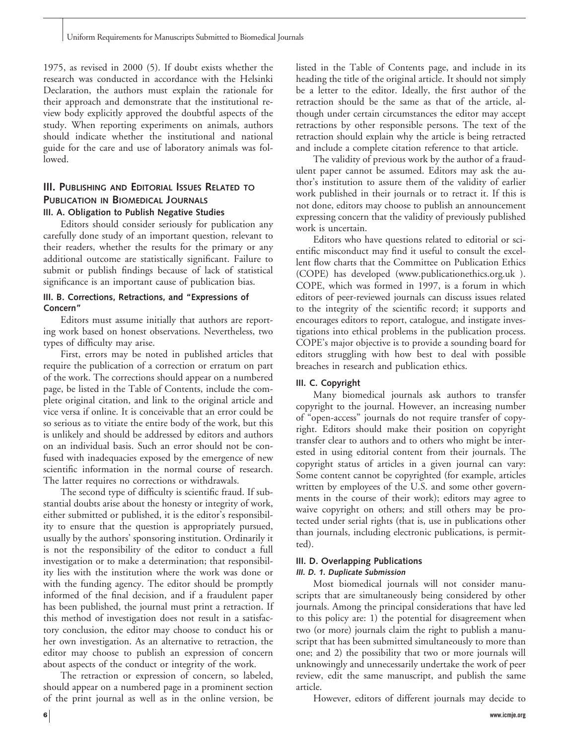1975, as revised in 2000 (5). If doubt exists whether the research was conducted in accordance with the Helsinki Declaration, the authors must explain the rationale for their approach and demonstrate that the institutional review body explicitly approved the doubtful aspects of the study. When reporting experiments on animals, authors should indicate whether the institutional and national guide for the care and use of laboratory animals was followed.

# **III. PUBLISHING AND EDITORIAL ISSUES RELATED TO PUBLICATION IN BIOMEDICAL JOURNALS**

### **III. A. Obligation to Publish Negative Studies**

Editors should consider seriously for publication any carefully done study of an important question, relevant to their readers, whether the results for the primary or any additional outcome are statistically significant. Failure to submit or publish findings because of lack of statistical significance is an important cause of publication bias.

#### **III. B. Corrections, Retractions, and "Expressions of Concern"**

Editors must assume initially that authors are reporting work based on honest observations. Nevertheless, two types of difficulty may arise.

First, errors may be noted in published articles that require the publication of a correction or erratum on part of the work. The corrections should appear on a numbered page, be listed in the Table of Contents, include the complete original citation, and link to the original article and vice versa if online. It is conceivable that an error could be so serious as to vitiate the entire body of the work, but this is unlikely and should be addressed by editors and authors on an individual basis. Such an error should not be confused with inadequacies exposed by the emergence of new scientific information in the normal course of research. The latter requires no corrections or withdrawals.

The second type of difficulty is scientific fraud. If substantial doubts arise about the honesty or integrity of work, either submitted or published, it is the editor's responsibility to ensure that the question is appropriately pursued, usually by the authors' sponsoring institution. Ordinarily it is not the responsibility of the editor to conduct a full investigation or to make a determination; that responsibility lies with the institution where the work was done or with the funding agency. The editor should be promptly informed of the final decision, and if a fraudulent paper has been published, the journal must print a retraction. If this method of investigation does not result in a satisfactory conclusion, the editor may choose to conduct his or her own investigation. As an alternative to retraction, the editor may choose to publish an expression of concern about aspects of the conduct or integrity of the work.

The retraction or expression of concern, so labeled, should appear on a numbered page in a prominent section of the print journal as well as in the online version, be listed in the Table of Contents page, and include in its heading the title of the original article. It should not simply be a letter to the editor. Ideally, the first author of the retraction should be the same as that of the article, although under certain circumstances the editor may accept retractions by other responsible persons. The text of the retraction should explain why the article is being retracted and include a complete citation reference to that article.

The validity of previous work by the author of a fraudulent paper cannot be assumed. Editors may ask the author's institution to assure them of the validity of earlier work published in their journals or to retract it. If this is not done, editors may choose to publish an announcement expressing concern that the validity of previously published work is uncertain.

Editors who have questions related to editorial or scientific misconduct may find it useful to consult the excellent flow charts that the Committee on Publication Ethics (COPE) has developed (www.publicationethics.org.uk ). COPE, which was formed in 1997, is a forum in which editors of peer-reviewed journals can discuss issues related to the integrity of the scientific record; it supports and encourages editors to report, catalogue, and instigate investigations into ethical problems in the publication process. COPE's major objective is to provide a sounding board for editors struggling with how best to deal with possible breaches in research and publication ethics.

# **III. C. Copyright**

Many biomedical journals ask authors to transfer copyright to the journal. However, an increasing number of "open-access" journals do not require transfer of copyright. Editors should make their position on copyright transfer clear to authors and to others who might be interested in using editorial content from their journals. The copyright status of articles in a given journal can vary: Some content cannot be copyrighted (for example, articles written by employees of the U.S. and some other governments in the course of their work); editors may agree to waive copyright on others; and still others may be protected under serial rights (that is, use in publications other than journals, including electronic publications, is permitted).

# **III. D. Overlapping Publications**

# **III. D. 1. Duplicate Submission**

Most biomedical journals will not consider manuscripts that are simultaneously being considered by other journals. Among the principal considerations that have led to this policy are: 1) the potential for disagreement when two (or more) journals claim the right to publish a manuscript that has been submitted simultaneously to more than one; and 2) the possibility that two or more journals will unknowingly and unnecessarily undertake the work of peer review, edit the same manuscript, and publish the same article.

However, editors of different journals may decide to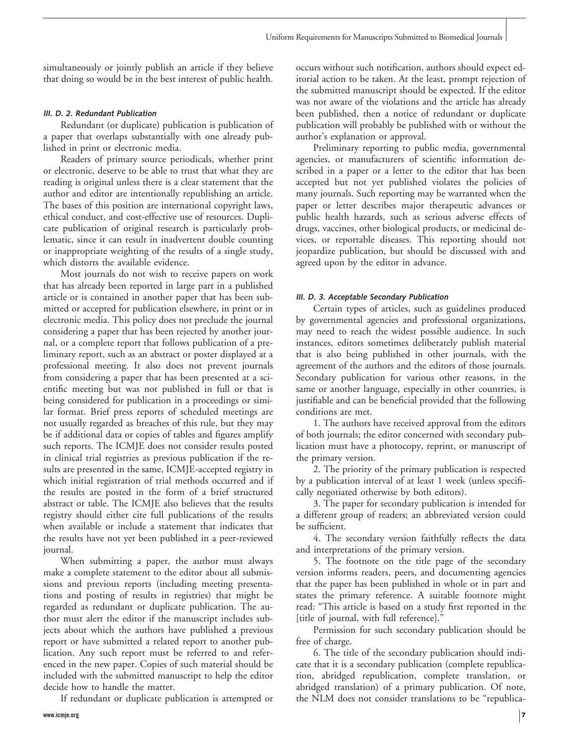simultaneously or jointly publish an article if they believe that doing so would be in the best interest of public health.

#### **III. D. 2. Redundant Publication**

Redundant (or duplicate) publication is publication of a paper that overlaps substantially with one already published in print or electronic media.

Readers of primary source periodicals, whether print or electronic, deserve to be able to trust that what they are reading is original unless there is a clear statement that the author and editor are intentionally republishing an article. The bases of this position are international copyright laws, ethical conduct, and cost-effective use of resources. Duplicate publication of original research is particularly problematic, since it can result in inadvertent double counting or inappropriate weighting of the results of a single study, which distorts the available evidence.

Most journals do not wish to receive papers on work that has already been reported in large part in a published article or is contained in another paper that has been submitted or accepted for publication elsewhere, in print or in electronic media. This policy does not preclude the journal considering a paper that has been rejected by another journal, or a complete report that follows publication of a preliminary report, such as an abstract or poster displayed at a professional meeting. It also does not prevent journals from considering a paper that has been presented at a scientific meeting but was not published in full or that is being considered for publication in a proceedings or similar format. Brief press reports of scheduled meetings are not usually regarded as breaches of this rule, but they may be if additional data or copies of tables and figures amplify such reports. The ICMJE does not consider results posted in clinical trial registries as previous publication if the results are presented in the same, ICMJE-accepted registry in which initial registration of trial methods occurred and if the results are posted in the form of a brief structured abstract or table. The ICMJE also believes that the results registry should either cite full publications of the results when available or include a statement that indicates that the results have not yet been published in a peer-reviewed journal.

When submitting a paper, the author must always make a complete statement to the editor about all submissions and previous reports (including meeting presentations and posting of results in registries) that might be regarded as redundant or duplicate publication. The author must alert the editor if the manuscript includes subjects about which the authors have published a previous report or have submitted a related report to another publication. Any such report must be referred to and referenced in the new paper. Copies of such material should be included with the submitted manuscript to help the editor decide how to handle the matter.

If redundant or duplicate publication is attempted or

occurs without such notification, authors should expect editorial action to be taken. At the least, prompt rejection of the submitted manuscript should be expected. If the editor was not aware of the violations and the article has already been published, then a notice of redundant or duplicate publication will probably be published with or without the author's explanation or approval.

Preliminary reporting to public media, governmental agencies, or manufacturers of scientific information described in a paper or a letter to the editor that has been accepted but not yet published violates the policies of many journals. Such reporting may be warranted when the paper or letter describes major therapeutic advances or public health hazards, such as serious adverse effects of drugs, vaccines, other biological products, or medicinal devices, or reportable diseases. This reporting should not jeopardize publication, but should be discussed with and agreed upon by the editor in advance.

#### **III. D. 3. Acceptable Secondary Publication**

Certain types of articles, such as guidelines produced by governmental agencies and professional organizations, may need to reach the widest possible audience. In such instances, editors sometimes deliberately publish material that is also being published in other journals, with the agreement of the authors and the editors of those journals. Secondary publication for various other reasons, in the same or another language, especially in other countries, is justifiable and can be beneficial provided that the following conditions are met.

1. The authors have received approval from the editors of both journals; the editor concerned with secondary publication must have a photocopy, reprint, or manuscript of the primary version.

2. The priority of the primary publication is respected by a publication interval of at least 1 week (unless specifically negotiated otherwise by both editors).

3. The paper for secondary publication is intended for a different group of readers; an abbreviated version could be sufficient.

4. The secondary version faithfully reflects the data and interpretations of the primary version.

5. The footnote on the title page of the secondary version informs readers, peers, and documenting agencies that the paper has been published in whole or in part and states the primary reference. A suitable footnote might read: "This article is based on a study first reported in the [title of journal, with full reference]."

Permission for such secondary publication should be free of charge.

6. The title of the secondary publication should indicate that it is a secondary publication (complete republication, abridged republication, complete translation, or abridged translation) of a primary publication. Of note, the NLM does not consider translations to be "republica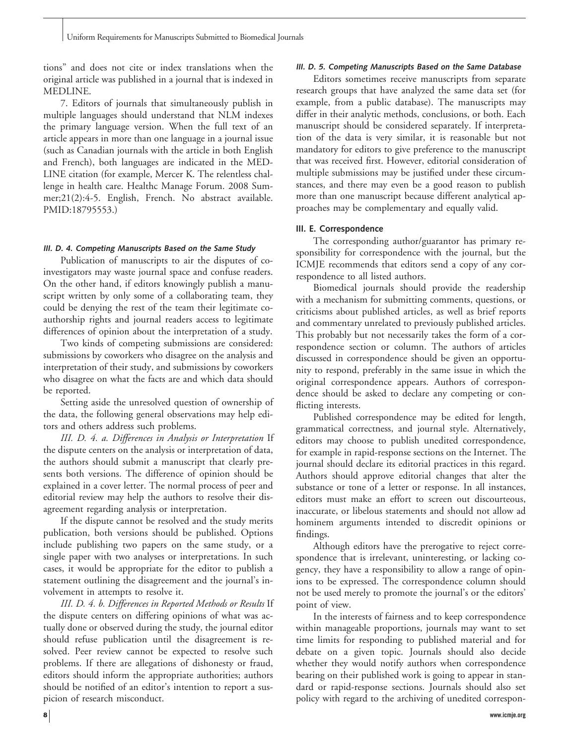tions" and does not cite or index translations when the original article was published in a journal that is indexed in MEDLINE.

7. Editors of journals that simultaneously publish in multiple languages should understand that NLM indexes the primary language version. When the full text of an article appears in more than one language in a journal issue (such as Canadian journals with the article in both English and French), both languages are indicated in the MED-LINE citation (for example, Mercer K. The relentless challenge in health care. Healthc Manage Forum. 2008 Summer;21(2):4-5. English, French. No abstract available. PMID:18795553.)

### **III. D. 4. Competing Manuscripts Based on the Same Study**

Publication of manuscripts to air the disputes of coinvestigators may waste journal space and confuse readers. On the other hand, if editors knowingly publish a manuscript written by only some of a collaborating team, they could be denying the rest of the team their legitimate coauthorship rights and journal readers access to legitimate differences of opinion about the interpretation of a study.

Two kinds of competing submissions are considered: submissions by coworkers who disagree on the analysis and interpretation of their study, and submissions by coworkers who disagree on what the facts are and which data should be reported.

Setting aside the unresolved question of ownership of the data, the following general observations may help editors and others address such problems.

*III. D. 4. a. Differences in Analysis or Interpretation* If the dispute centers on the analysis or interpretation of data, the authors should submit a manuscript that clearly presents both versions. The difference of opinion should be explained in a cover letter. The normal process of peer and editorial review may help the authors to resolve their disagreement regarding analysis or interpretation.

If the dispute cannot be resolved and the study merits publication, both versions should be published. Options include publishing two papers on the same study, or a single paper with two analyses or interpretations. In such cases, it would be appropriate for the editor to publish a statement outlining the disagreement and the journal's involvement in attempts to resolve it.

*III. D. 4. b. Differences in Reported Methods or Results* If the dispute centers on differing opinions of what was actually done or observed during the study, the journal editor should refuse publication until the disagreement is resolved. Peer review cannot be expected to resolve such problems. If there are allegations of dishonesty or fraud, editors should inform the appropriate authorities; authors should be notified of an editor's intention to report a suspicion of research misconduct.

#### **III. D. 5. Competing Manuscripts Based on the Same Database**

Editors sometimes receive manuscripts from separate research groups that have analyzed the same data set (for example, from a public database). The manuscripts may differ in their analytic methods, conclusions, or both. Each manuscript should be considered separately. If interpretation of the data is very similar, it is reasonable but not mandatory for editors to give preference to the manuscript that was received first. However, editorial consideration of multiple submissions may be justified under these circumstances, and there may even be a good reason to publish more than one manuscript because different analytical approaches may be complementary and equally valid.

# **III. E. Correspondence**

The corresponding author/guarantor has primary responsibility for correspondence with the journal, but the ICMJE recommends that editors send a copy of any correspondence to all listed authors.

Biomedical journals should provide the readership with a mechanism for submitting comments, questions, or criticisms about published articles, as well as brief reports and commentary unrelated to previously published articles. This probably but not necessarily takes the form of a correspondence section or column. The authors of articles discussed in correspondence should be given an opportunity to respond, preferably in the same issue in which the original correspondence appears. Authors of correspondence should be asked to declare any competing or conflicting interests.

Published correspondence may be edited for length, grammatical correctness, and journal style. Alternatively, editors may choose to publish unedited correspondence, for example in rapid-response sections on the Internet. The journal should declare its editorial practices in this regard. Authors should approve editorial changes that alter the substance or tone of a letter or response. In all instances, editors must make an effort to screen out discourteous, inaccurate, or libelous statements and should not allow ad hominem arguments intended to discredit opinions or findings.

Although editors have the prerogative to reject correspondence that is irrelevant, uninteresting, or lacking cogency, they have a responsibility to allow a range of opinions to be expressed. The correspondence column should not be used merely to promote the journal's or the editors' point of view.

In the interests of fairness and to keep correspondence within manageable proportions, journals may want to set time limits for responding to published material and for debate on a given topic. Journals should also decide whether they would notify authors when correspondence bearing on their published work is going to appear in standard or rapid-response sections. Journals should also set policy with regard to the archiving of unedited correspon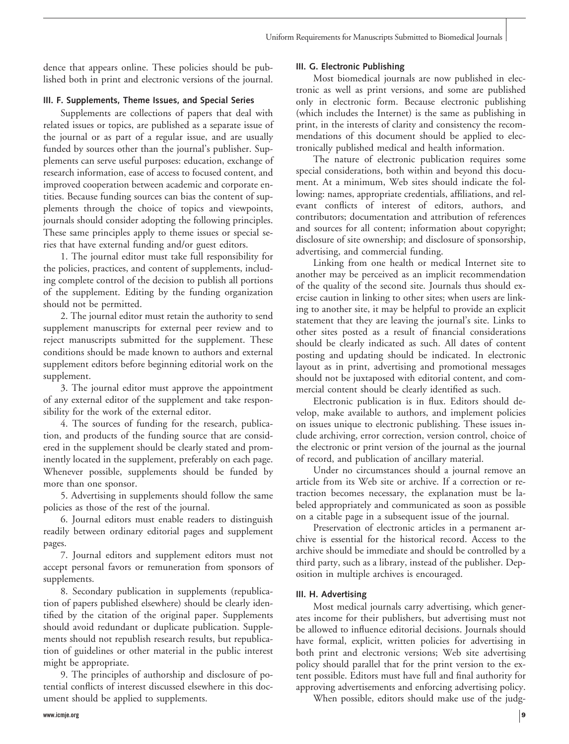dence that appears online. These policies should be published both in print and electronic versions of the journal.

#### **III. F. Supplements, Theme Issues, and Special Series**

Supplements are collections of papers that deal with related issues or topics, are published as a separate issue of the journal or as part of a regular issue, and are usually funded by sources other than the journal's publisher. Supplements can serve useful purposes: education, exchange of research information, ease of access to focused content, and improved cooperation between academic and corporate entities. Because funding sources can bias the content of supplements through the choice of topics and viewpoints, journals should consider adopting the following principles. These same principles apply to theme issues or special series that have external funding and/or guest editors.

1. The journal editor must take full responsibility for the policies, practices, and content of supplements, including complete control of the decision to publish all portions of the supplement. Editing by the funding organization should not be permitted.

2. The journal editor must retain the authority to send supplement manuscripts for external peer review and to reject manuscripts submitted for the supplement. These conditions should be made known to authors and external supplement editors before beginning editorial work on the supplement.

3. The journal editor must approve the appointment of any external editor of the supplement and take responsibility for the work of the external editor.

4. The sources of funding for the research, publication, and products of the funding source that are considered in the supplement should be clearly stated and prominently located in the supplement, preferably on each page. Whenever possible, supplements should be funded by more than one sponsor.

5. Advertising in supplements should follow the same policies as those of the rest of the journal.

6. Journal editors must enable readers to distinguish readily between ordinary editorial pages and supplement pages.

7. Journal editors and supplement editors must not accept personal favors or remuneration from sponsors of supplements.

8. Secondary publication in supplements (republication of papers published elsewhere) should be clearly identified by the citation of the original paper. Supplements should avoid redundant or duplicate publication. Supplements should not republish research results, but republication of guidelines or other material in the public interest might be appropriate.

9. The principles of authorship and disclosure of potential conflicts of interest discussed elsewhere in this document should be applied to supplements.

#### **III. G. Electronic Publishing**

Most biomedical journals are now published in electronic as well as print versions, and some are published only in electronic form. Because electronic publishing (which includes the Internet) is the same as publishing in print, in the interests of clarity and consistency the recommendations of this document should be applied to electronically published medical and health information.

The nature of electronic publication requires some special considerations, both within and beyond this document. At a minimum, Web sites should indicate the following: names, appropriate credentials, affiliations, and relevant conflicts of interest of editors, authors, and contributors; documentation and attribution of references and sources for all content; information about copyright; disclosure of site ownership; and disclosure of sponsorship, advertising, and commercial funding.

Linking from one health or medical Internet site to another may be perceived as an implicit recommendation of the quality of the second site. Journals thus should exercise caution in linking to other sites; when users are linking to another site, it may be helpful to provide an explicit statement that they are leaving the journal's site. Links to other sites posted as a result of financial considerations should be clearly indicated as such. All dates of content posting and updating should be indicated. In electronic layout as in print, advertising and promotional messages should not be juxtaposed with editorial content, and commercial content should be clearly identified as such.

Electronic publication is in flux. Editors should develop, make available to authors, and implement policies on issues unique to electronic publishing. These issues include archiving, error correction, version control, choice of the electronic or print version of the journal as the journal of record, and publication of ancillary material.

Under no circumstances should a journal remove an article from its Web site or archive. If a correction or retraction becomes necessary, the explanation must be labeled appropriately and communicated as soon as possible on a citable page in a subsequent issue of the journal.

Preservation of electronic articles in a permanent archive is essential for the historical record. Access to the archive should be immediate and should be controlled by a third party, such as a library, instead of the publisher. Deposition in multiple archives is encouraged.

#### **III. H. Advertising**

Most medical journals carry advertising, which generates income for their publishers, but advertising must not be allowed to influence editorial decisions. Journals should have formal, explicit, written policies for advertising in both print and electronic versions; Web site advertising policy should parallel that for the print version to the extent possible. Editors must have full and final authority for approving advertisements and enforcing advertising policy.

When possible, editors should make use of the judg-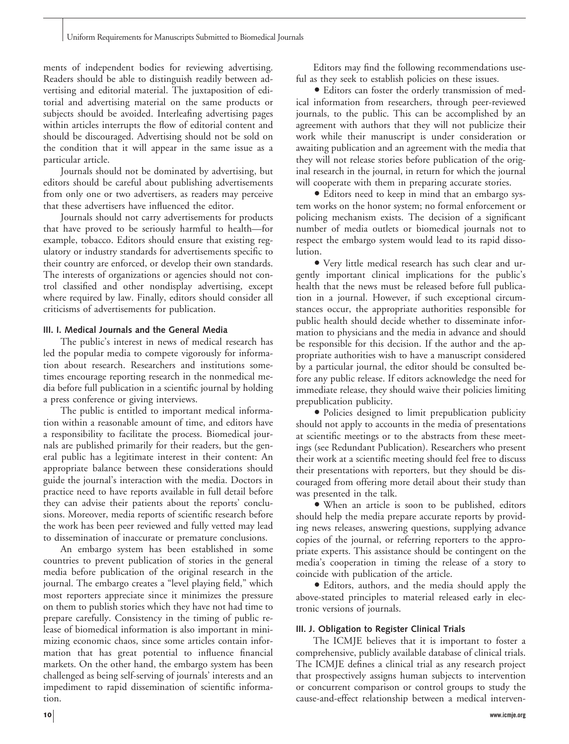ments of independent bodies for reviewing advertising. Readers should be able to distinguish readily between advertising and editorial material. The juxtaposition of editorial and advertising material on the same products or subjects should be avoided. Interleafing advertising pages within articles interrupts the flow of editorial content and should be discouraged. Advertising should not be sold on the condition that it will appear in the same issue as a particular article.

Journals should not be dominated by advertising, but editors should be careful about publishing advertisements from only one or two advertisers, as readers may perceive that these advertisers have influenced the editor.

Journals should not carry advertisements for products that have proved to be seriously harmful to health—for example, tobacco. Editors should ensure that existing regulatory or industry standards for advertisements specific to their country are enforced, or develop their own standards. The interests of organizations or agencies should not control classified and other nondisplay advertising, except where required by law. Finally, editors should consider all criticisms of advertisements for publication.

#### **III. I. Medical Journals and the General Media**

The public's interest in news of medical research has led the popular media to compete vigorously for information about research. Researchers and institutions sometimes encourage reporting research in the nonmedical media before full publication in a scientific journal by holding a press conference or giving interviews.

The public is entitled to important medical information within a reasonable amount of time, and editors have a responsibility to facilitate the process. Biomedical journals are published primarily for their readers, but the general public has a legitimate interest in their content: An appropriate balance between these considerations should guide the journal's interaction with the media. Doctors in practice need to have reports available in full detail before they can advise their patients about the reports' conclusions. Moreover, media reports of scientific research before the work has been peer reviewed and fully vetted may lead to dissemination of inaccurate or premature conclusions.

An embargo system has been established in some countries to prevent publication of stories in the general media before publication of the original research in the journal. The embargo creates a "level playing field," which most reporters appreciate since it minimizes the pressure on them to publish stories which they have not had time to prepare carefully. Consistency in the timing of public release of biomedical information is also important in minimizing economic chaos, since some articles contain information that has great potential to influence financial markets. On the other hand, the embargo system has been challenged as being self-serving of journals' interests and an impediment to rapid dissemination of scientific information.

Editors may find the following recommendations useful as they seek to establish policies on these issues.

 $\bullet$  Editors can foster the orderly transmission of medical information from researchers, through peer-reviewed journals, to the public. This can be accomplished by an agreement with authors that they will not publicize their work while their manuscript is under consideration or awaiting publication and an agreement with the media that they will not release stories before publication of the original research in the journal, in return for which the journal will cooperate with them in preparing accurate stories.

 $\bullet$  Editors need to keep in mind that an embargo system works on the honor system; no formal enforcement or policing mechanism exists. The decision of a significant number of media outlets or biomedical journals not to respect the embargo system would lead to its rapid dissolution.

• Very little medical research has such clear and urgently important clinical implications for the public's health that the news must be released before full publication in a journal. However, if such exceptional circumstances occur, the appropriate authorities responsible for public health should decide whether to disseminate information to physicians and the media in advance and should be responsible for this decision. If the author and the appropriate authorities wish to have a manuscript considered by a particular journal, the editor should be consulted before any public release. If editors acknowledge the need for immediate release, they should waive their policies limiting prepublication publicity.

 $\bullet$  Policies designed to limit prepublication publicity should not apply to accounts in the media of presentations at scientific meetings or to the abstracts from these meetings (see Redundant Publication). Researchers who present their work at a scientific meeting should feel free to discuss their presentations with reporters, but they should be discouraged from offering more detail about their study than was presented in the talk.

· When an article is soon to be published, editors should help the media prepare accurate reports by providing news releases, answering questions, supplying advance copies of the journal, or referring reporters to the appropriate experts. This assistance should be contingent on the media's cooperation in timing the release of a story to coincide with publication of the article.

• Editors, authors, and the media should apply the above-stated principles to material released early in electronic versions of journals.

#### **III. J. Obligation to Register Clinical Trials**

The ICMJE believes that it is important to foster a comprehensive, publicly available database of clinical trials. The ICMJE defines a clinical trial as any research project that prospectively assigns human subjects to intervention or concurrent comparison or control groups to study the cause-and-effect relationship between a medical interven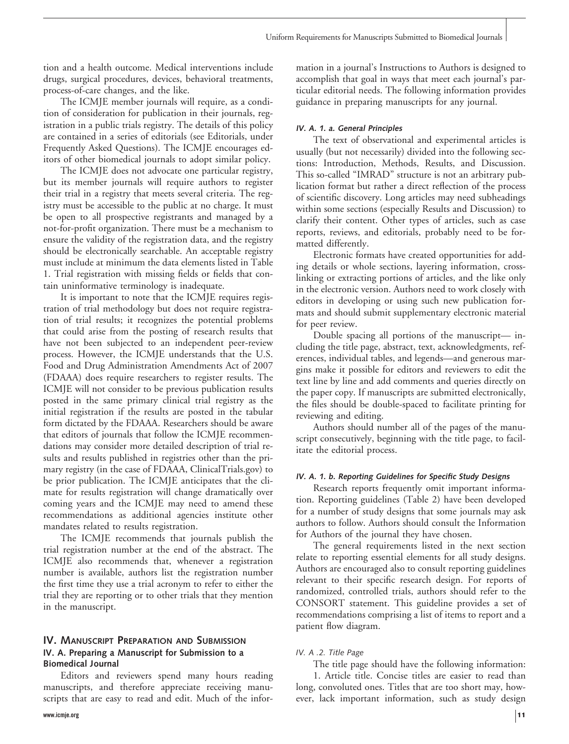tion and a health outcome. Medical interventions include drugs, surgical procedures, devices, behavioral treatments, process-of-care changes, and the like.

The ICMJE member journals will require, as a condition of consideration for publication in their journals, registration in a public trials registry. The details of this policy are contained in a series of editorials (see Editorials, under Frequently Asked Questions). The ICMJE encourages editors of other biomedical journals to adopt similar policy.

The ICMJE does not advocate one particular registry, but its member journals will require authors to register their trial in a registry that meets several criteria. The registry must be accessible to the public at no charge. It must be open to all prospective registrants and managed by a not-for-profit organization. There must be a mechanism to ensure the validity of the registration data, and the registry should be electronically searchable. An acceptable registry must include at minimum the data elements listed in Table 1. Trial registration with missing fields or fields that contain uninformative terminology is inadequate.

It is important to note that the ICMJE requires registration of trial methodology but does not require registration of trial results; it recognizes the potential problems that could arise from the posting of research results that have not been subjected to an independent peer-review process. However, the ICMJE understands that the U.S. Food and Drug Administration Amendments Act of 2007 (FDAAA) does require researchers to register results. The ICMJE will not consider to be previous publication results posted in the same primary clinical trial registry as the initial registration if the results are posted in the tabular form dictated by the FDAAA. Researchers should be aware that editors of journals that follow the ICMJE recommendations may consider more detailed description of trial results and results published in registries other than the primary registry (in the case of FDAAA, ClinicalTrials.gov) to be prior publication. The ICMJE anticipates that the climate for results registration will change dramatically over coming years and the ICMJE may need to amend these recommendations as additional agencies institute other mandates related to results registration.

The ICMJE recommends that journals publish the trial registration number at the end of the abstract. The ICMJE also recommends that, whenever a registration number is available, authors list the registration number the first time they use a trial acronym to refer to either the trial they are reporting or to other trials that they mention in the manuscript.

### **IV. MANUSCRIPT PREPARATION AND SUBMISSION IV. A. Preparing a Manuscript for Submission to a Biomedical Journal**

Editors and reviewers spend many hours reading manuscripts, and therefore appreciate receiving manuscripts that are easy to read and edit. Much of the information in a journal's Instructions to Authors is designed to accomplish that goal in ways that meet each journal's particular editorial needs. The following information provides guidance in preparing manuscripts for any journal.

#### **IV. A. 1. a. General Principles**

The text of observational and experimental articles is usually (but not necessarily) divided into the following sections: Introduction, Methods, Results, and Discussion. This so-called "IMRAD" structure is not an arbitrary publication format but rather a direct reflection of the process of scientific discovery. Long articles may need subheadings within some sections (especially Results and Discussion) to clarify their content. Other types of articles, such as case reports, reviews, and editorials, probably need to be formatted differently.

Electronic formats have created opportunities for adding details or whole sections, layering information, crosslinking or extracting portions of articles, and the like only in the electronic version. Authors need to work closely with editors in developing or using such new publication formats and should submit supplementary electronic material for peer review.

Double spacing all portions of the manuscript— including the title page, abstract, text, acknowledgments, references, individual tables, and legends—and generous margins make it possible for editors and reviewers to edit the text line by line and add comments and queries directly on the paper copy. If manuscripts are submitted electronically, the files should be double-spaced to facilitate printing for reviewing and editing.

Authors should number all of the pages of the manuscript consecutively, beginning with the title page, to facilitate the editorial process.

#### **IV. A. 1. b. Reporting Guidelines for Specific Study Designs**

Research reports frequently omit important information. Reporting guidelines (Table 2) have been developed for a number of study designs that some journals may ask authors to follow. Authors should consult the Information for Authors of the journal they have chosen.

The general requirements listed in the next section relate to reporting essential elements for all study designs. Authors are encouraged also to consult reporting guidelines relevant to their specific research design. For reports of randomized, controlled trials, authors should refer to the CONSORT statement. This guideline provides a set of recommendations comprising a list of items to report and a patient flow diagram.

#### *IV. A .2. Title Page*

The title page should have the following information: 1. Article title. Concise titles are easier to read than long, convoluted ones. Titles that are too short may, however, lack important information, such as study design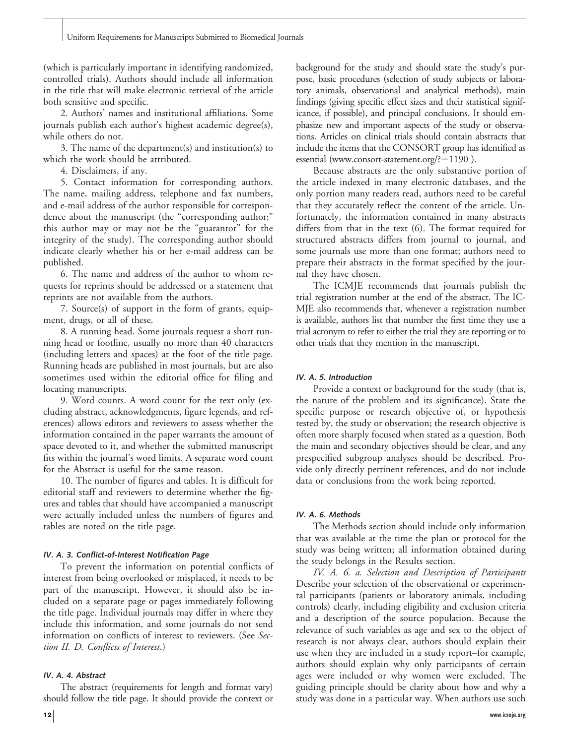(which is particularly important in identifying randomized, controlled trials). Authors should include all information in the title that will make electronic retrieval of the article both sensitive and specific.

2. Authors' names and institutional affiliations. Some journals publish each author's highest academic degree(s), while others do not.

3. The name of the department(s) and institution(s) to which the work should be attributed.

4. Disclaimers, if any.

5. Contact information for corresponding authors. The name, mailing address, telephone and fax numbers, and e-mail address of the author responsible for correspondence about the manuscript (the "corresponding author;" this author may or may not be the "guarantor" for the integrity of the study). The corresponding author should indicate clearly whether his or her e-mail address can be published.

6. The name and address of the author to whom requests for reprints should be addressed or a statement that reprints are not available from the authors.

7. Source(s) of support in the form of grants, equipment, drugs, or all of these.

8. A running head. Some journals request a short running head or footline, usually no more than 40 characters (including letters and spaces) at the foot of the title page. Running heads are published in most journals, but are also sometimes used within the editorial office for filing and locating manuscripts.

9. Word counts. A word count for the text only (excluding abstract, acknowledgments, figure legends, and references) allows editors and reviewers to assess whether the information contained in the paper warrants the amount of space devoted to it, and whether the submitted manuscript fits within the journal's word limits. A separate word count for the Abstract is useful for the same reason.

10. The number of figures and tables. It is difficult for editorial staff and reviewers to determine whether the figures and tables that should have accompanied a manuscript were actually included unless the numbers of figures and tables are noted on the title page.

#### **IV. A. 3. Conflict-of-Interest Notification Page**

To prevent the information on potential conflicts of interest from being overlooked or misplaced, it needs to be part of the manuscript. However, it should also be included on a separate page or pages immediately following the title page. Individual journals may differ in where they include this information, and some journals do not send information on conflicts of interest to reviewers. (See *Section II. D. Conflicts of Interest*.)

#### **IV. A. 4. Abstract**

The abstract (requirements for length and format vary) should follow the title page. It should provide the context or background for the study and should state the study's purpose, basic procedures (selection of study subjects or laboratory animals, observational and analytical methods), main findings (giving specific effect sizes and their statistical significance, if possible), and principal conclusions. It should emphasize new and important aspects of the study or observations. Articles on clinical trials should contain abstracts that include the items that the CONSORT group has identified as essential (www.consort-statement.org/?= $1190$ ).

Because abstracts are the only substantive portion of the article indexed in many electronic databases, and the only portion many readers read, authors need to be careful that they accurately reflect the content of the article. Unfortunately, the information contained in many abstracts differs from that in the text (6). The format required for structured abstracts differs from journal to journal, and some journals use more than one format; authors need to prepare their abstracts in the format specified by the journal they have chosen.

The ICMJE recommends that journals publish the trial registration number at the end of the abstract. The IC-MJE also recommends that, whenever a registration number is available, authors list that number the first time they use a trial acronym to refer to either the trial they are reporting or to other trials that they mention in the manuscript.

#### **IV. A. 5. Introduction**

Provide a context or background for the study (that is, the nature of the problem and its significance). State the specific purpose or research objective of, or hypothesis tested by, the study or observation; the research objective is often more sharply focused when stated as a question. Both the main and secondary objectives should be clear, and any prespecified subgroup analyses should be described. Provide only directly pertinent references, and do not include data or conclusions from the work being reported.

#### **IV. A. 6. Methods**

The Methods section should include only information that was available at the time the plan or protocol for the study was being written; all information obtained during the study belongs in the Results section.

*IV. A. 6. a. Selection and Description of Participants* Describe your selection of the observational or experimental participants (patients or laboratory animals, including controls) clearly, including eligibility and exclusion criteria and a description of the source population. Because the relevance of such variables as age and sex to the object of research is not always clear, authors should explain their use when they are included in a study report–for example, authors should explain why only participants of certain ages were included or why women were excluded. The guiding principle should be clarity about how and why a study was done in a particular way. When authors use such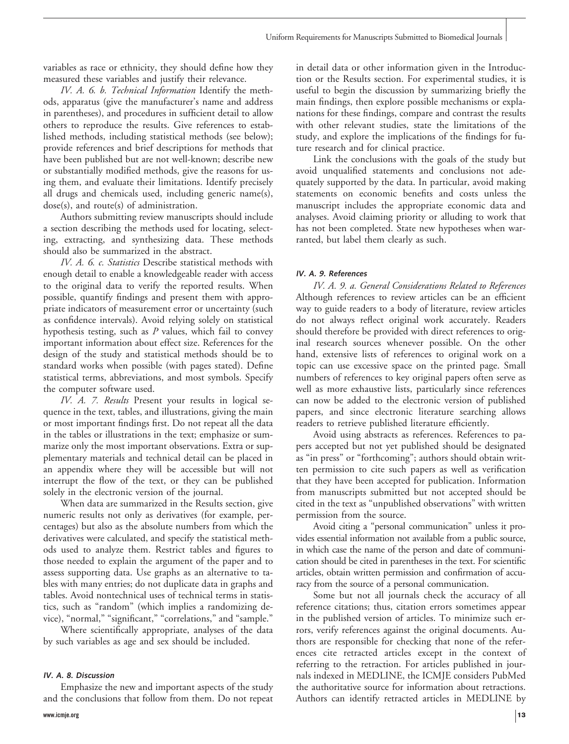variables as race or ethnicity, they should define how they measured these variables and justify their relevance.

*IV. A. 6. b. Technical Information* Identify the methods, apparatus (give the manufacturer's name and address in parentheses), and procedures in sufficient detail to allow others to reproduce the results. Give references to established methods, including statistical methods (see below); provide references and brief descriptions for methods that have been published but are not well-known; describe new or substantially modified methods, give the reasons for using them, and evaluate their limitations. Identify precisely all drugs and chemicals used, including generic name(s), dose(s), and route(s) of administration.

Authors submitting review manuscripts should include a section describing the methods used for locating, selecting, extracting, and synthesizing data. These methods should also be summarized in the abstract.

*IV. A. 6. c. Statistics* Describe statistical methods with enough detail to enable a knowledgeable reader with access to the original data to verify the reported results. When possible, quantify findings and present them with appropriate indicators of measurement error or uncertainty (such as confidence intervals). Avoid relying solely on statistical hypothesis testing, such as *P* values, which fail to convey important information about effect size. References for the design of the study and statistical methods should be to standard works when possible (with pages stated). Define statistical terms, abbreviations, and most symbols. Specify the computer software used.

*IV. A. 7. Results* Present your results in logical sequence in the text, tables, and illustrations, giving the main or most important findings first. Do not repeat all the data in the tables or illustrations in the text; emphasize or summarize only the most important observations. Extra or supplementary materials and technical detail can be placed in an appendix where they will be accessible but will not interrupt the flow of the text, or they can be published solely in the electronic version of the journal.

When data are summarized in the Results section, give numeric results not only as derivatives (for example, percentages) but also as the absolute numbers from which the derivatives were calculated, and specify the statistical methods used to analyze them. Restrict tables and figures to those needed to explain the argument of the paper and to assess supporting data. Use graphs as an alternative to tables with many entries; do not duplicate data in graphs and tables. Avoid nontechnical uses of technical terms in statistics, such as "random" (which implies a randomizing device), "normal," "significant," "correlations," and "sample."

Where scientifically appropriate, analyses of the data by such variables as age and sex should be included.

#### **IV. A. 8. Discussion**

Emphasize the new and important aspects of the study and the conclusions that follow from them. Do not repeat in detail data or other information given in the Introduction or the Results section. For experimental studies, it is useful to begin the discussion by summarizing briefly the main findings, then explore possible mechanisms or explanations for these findings, compare and contrast the results with other relevant studies, state the limitations of the study, and explore the implications of the findings for future research and for clinical practice.

Link the conclusions with the goals of the study but avoid unqualified statements and conclusions not adequately supported by the data. In particular, avoid making statements on economic benefits and costs unless the manuscript includes the appropriate economic data and analyses. Avoid claiming priority or alluding to work that has not been completed. State new hypotheses when warranted, but label them clearly as such.

#### **IV. A. 9. References**

*IV. A. 9. a. General Considerations Related to References* Although references to review articles can be an efficient way to guide readers to a body of literature, review articles do not always reflect original work accurately. Readers should therefore be provided with direct references to original research sources whenever possible. On the other hand, extensive lists of references to original work on a topic can use excessive space on the printed page. Small numbers of references to key original papers often serve as well as more exhaustive lists, particularly since references can now be added to the electronic version of published papers, and since electronic literature searching allows readers to retrieve published literature efficiently.

Avoid using abstracts as references. References to papers accepted but not yet published should be designated as "in press" or "forthcoming"; authors should obtain written permission to cite such papers as well as verification that they have been accepted for publication. Information from manuscripts submitted but not accepted should be cited in the text as "unpublished observations" with written permission from the source.

Avoid citing a "personal communication" unless it provides essential information not available from a public source, in which case the name of the person and date of communication should be cited in parentheses in the text. For scientific articles, obtain written permission and confirmation of accuracy from the source of a personal communication.

Some but not all journals check the accuracy of all reference citations; thus, citation errors sometimes appear in the published version of articles. To minimize such errors, verify references against the original documents. Authors are responsible for checking that none of the references cite retracted articles except in the context of referring to the retraction. For articles published in journals indexed in MEDLINE, the ICMJE considers PubMed the authoritative source for information about retractions. Authors can identify retracted articles in MEDLINE by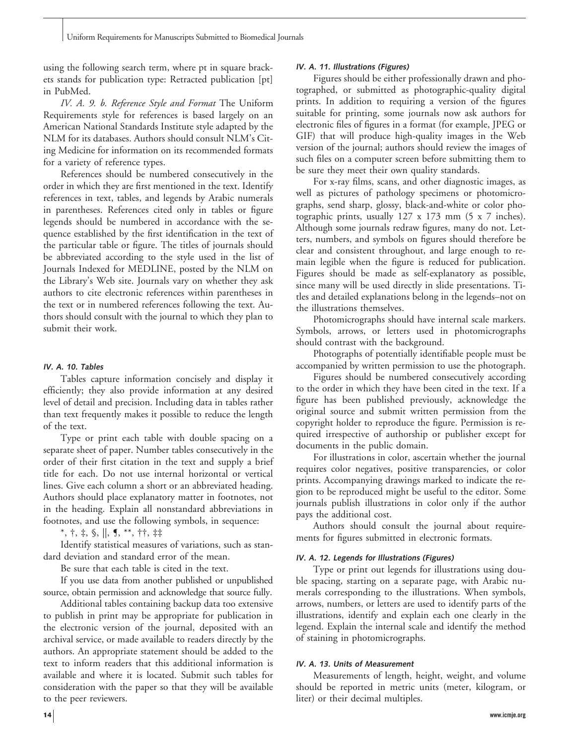using the following search term, where pt in square brackets stands for publication type: Retracted publication [pt] in PubMed.

*IV. A. 9. b. Reference Style and Format* The Uniform Requirements style for references is based largely on an American National Standards Institute style adapted by the NLM for its databases. Authors should consult NLM's Citing Medicine for information on its recommended formats for a variety of reference types.

References should be numbered consecutively in the order in which they are first mentioned in the text. Identify references in text, tables, and legends by Arabic numerals in parentheses. References cited only in tables or figure legends should be numbered in accordance with the sequence established by the first identification in the text of the particular table or figure. The titles of journals should be abbreviated according to the style used in the list of Journals Indexed for MEDLINE, posted by the NLM on the Library's Web site. Journals vary on whether they ask authors to cite electronic references within parentheses in the text or in numbered references following the text. Authors should consult with the journal to which they plan to submit their work.

#### **IV. A. 10. Tables**

Tables capture information concisely and display it efficiently; they also provide information at any desired level of detail and precision. Including data in tables rather than text frequently makes it possible to reduce the length of the text.

Type or print each table with double spacing on a separate sheet of paper. Number tables consecutively in the order of their first citation in the text and supply a brief title for each. Do not use internal horizontal or vertical lines. Give each column a short or an abbreviated heading. Authors should place explanatory matter in footnotes, not in the heading. Explain all nonstandard abbreviations in footnotes, and use the following symbols, in sequence:

\*, †, ‡, §, ||, ¶, \*\*, ††, ‡‡

Identify statistical measures of variations, such as standard deviation and standard error of the mean.

Be sure that each table is cited in the text.

If you use data from another published or unpublished source, obtain permission and acknowledge that source fully.

Additional tables containing backup data too extensive to publish in print may be appropriate for publication in the electronic version of the journal, deposited with an archival service, or made available to readers directly by the authors. An appropriate statement should be added to the text to inform readers that this additional information is available and where it is located. Submit such tables for consideration with the paper so that they will be available to the peer reviewers.

#### **IV. A. 11. Illustrations (Figures)**

Figures should be either professionally drawn and photographed, or submitted as photographic-quality digital prints. In addition to requiring a version of the figures suitable for printing, some journals now ask authors for electronic files of figures in a format (for example, JPEG or GIF) that will produce high-quality images in the Web version of the journal; authors should review the images of such files on a computer screen before submitting them to be sure they meet their own quality standards.

For x-ray films, scans, and other diagnostic images, as well as pictures of pathology specimens or photomicrographs, send sharp, glossy, black-and-white or color photographic prints, usually 127 x 173 mm (5 x 7 inches). Although some journals redraw figures, many do not. Letters, numbers, and symbols on figures should therefore be clear and consistent throughout, and large enough to remain legible when the figure is reduced for publication. Figures should be made as self-explanatory as possible, since many will be used directly in slide presentations. Titles and detailed explanations belong in the legends–not on the illustrations themselves.

Photomicrographs should have internal scale markers. Symbols, arrows, or letters used in photomicrographs should contrast with the background.

Photographs of potentially identifiable people must be accompanied by written permission to use the photograph.

Figures should be numbered consecutively according to the order in which they have been cited in the text. If a figure has been published previously, acknowledge the original source and submit written permission from the copyright holder to reproduce the figure. Permission is required irrespective of authorship or publisher except for documents in the public domain.

For illustrations in color, ascertain whether the journal requires color negatives, positive transparencies, or color prints. Accompanying drawings marked to indicate the region to be reproduced might be useful to the editor. Some journals publish illustrations in color only if the author pays the additional cost.

Authors should consult the journal about requirements for figures submitted in electronic formats.

#### **IV. A. 12. Legends for Illustrations (Figures)**

Type or print out legends for illustrations using double spacing, starting on a separate page, with Arabic numerals corresponding to the illustrations. When symbols, arrows, numbers, or letters are used to identify parts of the illustrations, identify and explain each one clearly in the legend. Explain the internal scale and identify the method of staining in photomicrographs.

#### **IV. A. 13. Units of Measurement**

Measurements of length, height, weight, and volume should be reported in metric units (meter, kilogram, or liter) or their decimal multiples.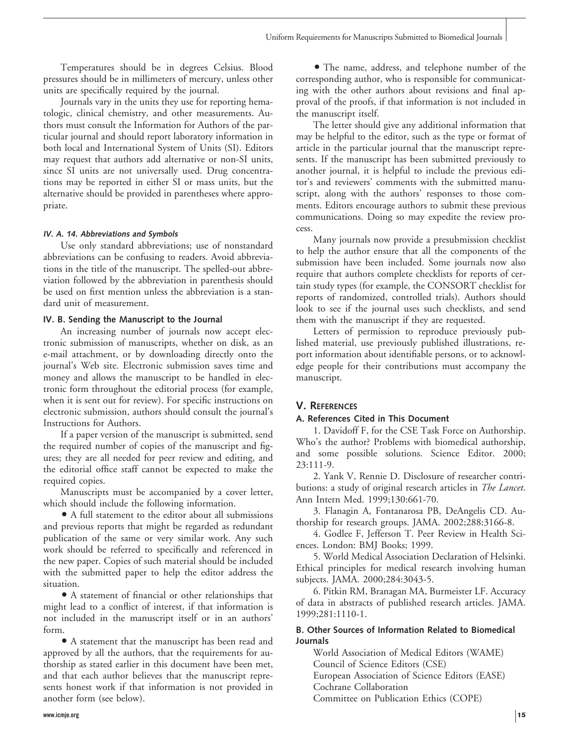Temperatures should be in degrees Celsius. Blood pressures should be in millimeters of mercury, unless other units are specifically required by the journal.

Journals vary in the units they use for reporting hematologic, clinical chemistry, and other measurements. Authors must consult the Information for Authors of the particular journal and should report laboratory information in both local and International System of Units (SI). Editors may request that authors add alternative or non-SI units, since SI units are not universally used. Drug concentrations may be reported in either SI or mass units, but the alternative should be provided in parentheses where appropriate.

#### **IV. A. 14. Abbreviations and Symbols**

Use only standard abbreviations; use of nonstandard abbreviations can be confusing to readers. Avoid abbreviations in the title of the manuscript. The spelled-out abbreviation followed by the abbreviation in parenthesis should be used on first mention unless the abbreviation is a standard unit of measurement.

#### **IV. B. Sending the Manuscript to the Journal**

An increasing number of journals now accept electronic submission of manuscripts, whether on disk, as an e-mail attachment, or by downloading directly onto the journal's Web site. Electronic submission saves time and money and allows the manuscript to be handled in electronic form throughout the editorial process (for example, when it is sent out for review). For specific instructions on electronic submission, authors should consult the journal's Instructions for Authors.

If a paper version of the manuscript is submitted, send the required number of copies of the manuscript and figures; they are all needed for peer review and editing, and the editorial office staff cannot be expected to make the required copies.

Manuscripts must be accompanied by a cover letter, which should include the following information.

• A full statement to the editor about all submissions and previous reports that might be regarded as redundant publication of the same or very similar work. Any such work should be referred to specifically and referenced in the new paper. Copies of such material should be included with the submitted paper to help the editor address the situation.

• A statement of financial or other relationships that might lead to a conflict of interest, if that information is not included in the manuscript itself or in an authors' form.

• A statement that the manuscript has been read and approved by all the authors, that the requirements for authorship as stated earlier in this document have been met, and that each author believes that the manuscript represents honest work if that information is not provided in another form (see below).

• The name, address, and telephone number of the corresponding author, who is responsible for communicating with the other authors about revisions and final approval of the proofs, if that information is not included in the manuscript itself.

The letter should give any additional information that may be helpful to the editor, such as the type or format of article in the particular journal that the manuscript represents. If the manuscript has been submitted previously to another journal, it is helpful to include the previous editor's and reviewers' comments with the submitted manuscript, along with the authors' responses to those comments. Editors encourage authors to submit these previous communications. Doing so may expedite the review process.

Many journals now provide a presubmission checklist to help the author ensure that all the components of the submission have been included. Some journals now also require that authors complete checklists for reports of certain study types (for example, the CONSORT checklist for reports of randomized, controlled trials). Authors should look to see if the journal uses such checklists, and send them with the manuscript if they are requested.

Letters of permission to reproduce previously published material, use previously published illustrations, report information about identifiable persons, or to acknowledge people for their contributions must accompany the manuscript.

# **V. REFERENCES**

#### **A. References Cited in This Document**

1. Davidoff F, for the CSE Task Force on Authorship. Who's the author? Problems with biomedical authorship, and some possible solutions. Science Editor. 2000; 23:111-9.

2. Yank V, Rennie D. Disclosure of researcher contributions: a study of original research articles in *The Lancet*. Ann Intern Med. 1999;130:661-70.

3. Flanagin A, Fontanarosa PB, DeAngelis CD. Authorship for research groups. JAMA. 2002;288:3166-8.

4. Godlee F, Jefferson T. Peer Review in Health Sciences. London: BMJ Books; 1999.

5. World Medical Association Declaration of Helsinki. Ethical principles for medical research involving human subjects. JAMA. 2000;284:3043-5.

6. Pitkin RM, Branagan MA, Burmeister LF. Accuracy of data in abstracts of published research articles. JAMA. 1999;281:1110-1.

### **B. Other Sources of Information Related to Biomedical Journals**

World Association of Medical Editors (WAME) Council of Science Editors (CSE) European Association of Science Editors (EASE) Cochrane Collaboration Committee on Publication Ethics (COPE)